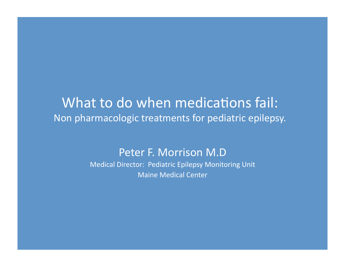#### What to do when medications fail: Non pharmacologic treatments for pediatric epilepsy.

#### Peter F. Morrison M.D

Medical Director: Pediatric Epilepsy Monitoring Unit **Maine Medical Center**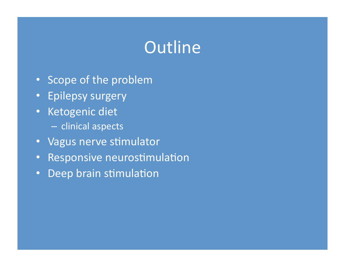# **Outline**

- Scope of the problem
- Epilepsy surgery
- Ketogenic diet
	- $-$  clinical aspects
- Vagus nerve stimulator
- Responsive neurostimulation
- Deep brain stimulation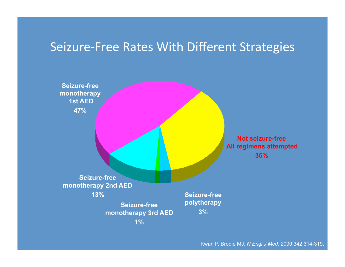#### Seizure-Free Rates With Different Strategies



Kwan P, Brodie MJ. *N Engl J Med.* 2000;342:314-319.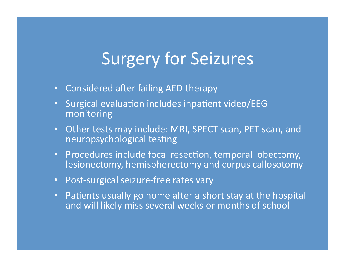# Surgery for Seizures

- Considered after failing AED therapy
- Surgical evaluation includes inpatient video/EEG monitoring
- Other tests may include: MRI, SPECT scan, PET scan, and neuropsychological testing
- Procedures include focal resection, temporal lobectomy, lesionectomy, hemispherectomy and corpus callosotomy
- Post-surgical seizure-free rates vary
- Patients usually go home after a short stay at the hospital and will likely miss several weeks or months of school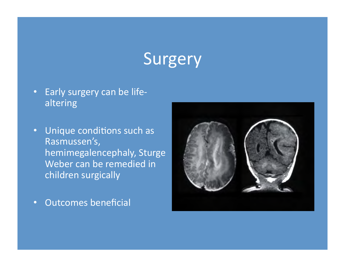# Surgery

- Early surgery can be lifealtering
- Unique conditions such as Rasmussen's, hemimegalencephaly, Sturge Weber can be remedied in children surgically
- Outcomes beneficial

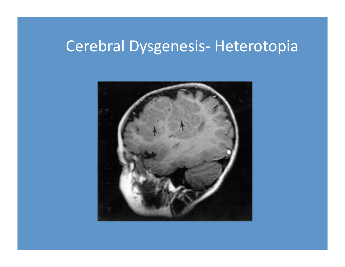## Cerebral Dysgenesis- Heterotopia

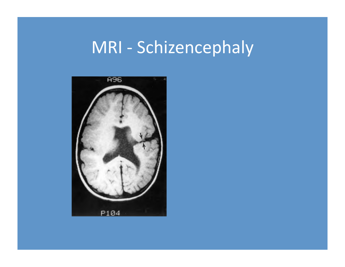# MRI - Schizencephaly

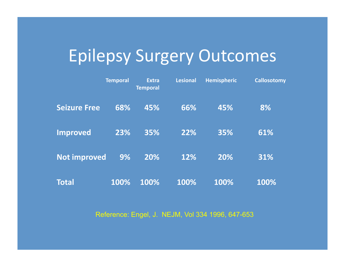# Epilepsy%Surgery%Outcomes

|                     | <b>Temporal</b> | <b>Extra</b><br><b>Temporal</b> | <b>Lesional</b> | <b>Hemispheric</b> | <b>Callosotomy</b> |
|---------------------|-----------------|---------------------------------|-----------------|--------------------|--------------------|
| <b>Seizure Free</b> | 68%             | 45%                             | 66%             | 45%                | 8%                 |
| <b>Improved</b>     | 23%             | 35%                             | 22%             | 35%                | 61%                |
| <b>Not improved</b> | 9%              | 20%                             | 12%             | 20%                | 31%                |
| <b>Total</b>        | 100%            | 100%                            | 100%            | 100%               | 100%               |

Reference: Engel, J. NEJM, Vol 334 1996, 647-653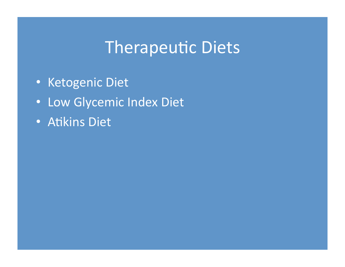# Therapeutic Diets

- Ketogenic Diet
- Low Glycemic Index Diet
- Atikins Diet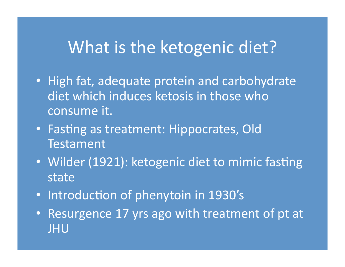## What is the ketogenic diet?

- High fat, adequate protein and carbohydrate diet which induces ketosis in those who consume it.
- Fasting as treatment: Hippocrates, Old **Testament**
- Wilder (1921): ketogenic diet to mimic fasting state
- Introduction of phenytoin in 1930's
- Resurgence 17 yrs ago with treatment of pt at JHU%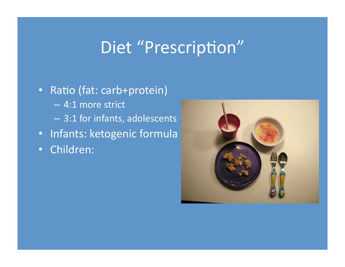# Diet "Prescription"

- · Ratio (fat: carb+protein)
	- $-4:1$  more strict
	- 3:1 for infants, adolescents
- · Infants: ketogenic formula
- · Children:

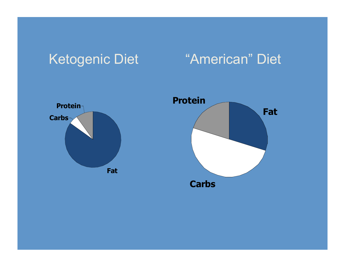#### Ketogenic Diet "American" Diet



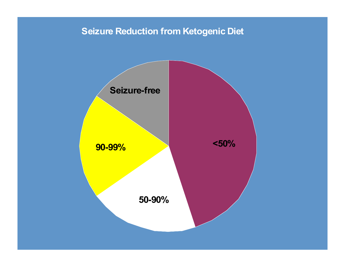#### **Seizure Reduction from Ketogenic Diet**

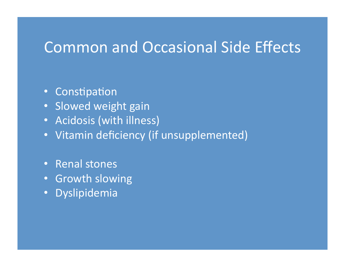#### Common and Occasional Side Effects

- Constipation
- Slowed weight gain
- Acidosis (with illness)
- Vitamin deficiency (if unsupplemented)
- Renal stones
- Growth slowing
- Dyslipidemia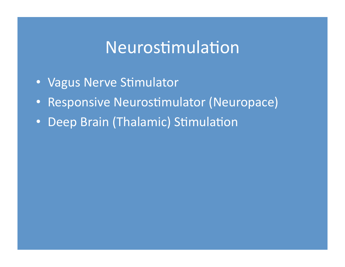### Neurostimulation

- Vagus Nerve Stimulator
- Responsive Neurostimulator (Neuropace)
- Deep Brain (Thalamic) Stimulation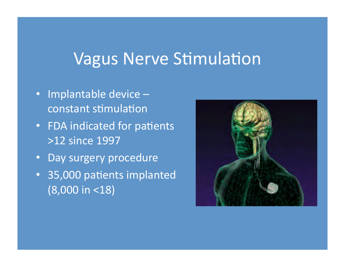## Vagus Nerve Stimulation

- Implantable device constant stimulation
- FDA indicated for patients >12 since 1997
- Day surgery procedure
- 35,000 patients implanted  $(8,000 \text{ in } 18)$

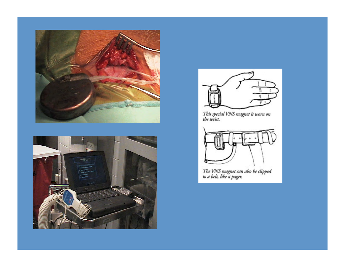





This special VNS magnet is worn on<br>the wrist.



The VNS magnet can also be clipped<br>to a belt, like a pager.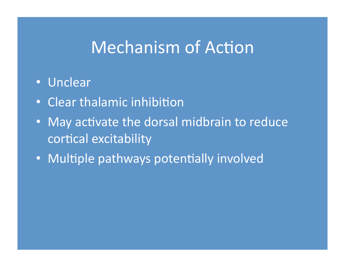# **Mechanism of Action**

#### · Unclear

- Clear thalamic inhibition
- May activate the dorsal midbrain to reduce cortical excitability
- · Multiple pathways potentially involved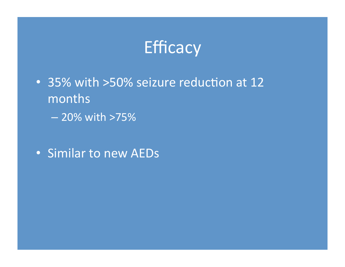# Efficacy

- 35% with >50% seizure reduction at 12 months%
	- $-20\%$  with >75%
- Similar to new AEDs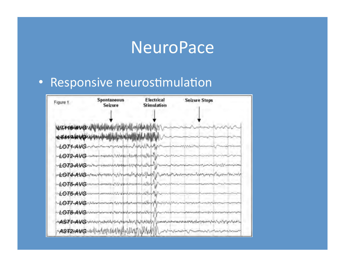## NeuroPace

#### • Responsive neurostimulation

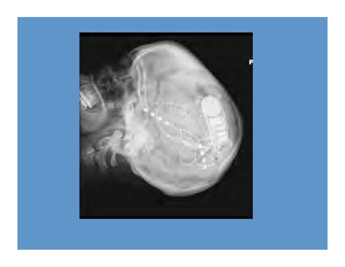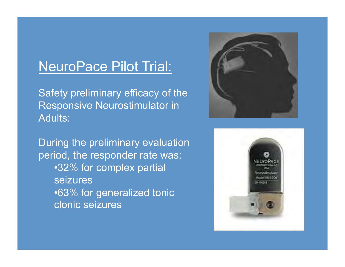#### NeuroPace Pilot Trial:

Safety preliminary efficacy of the Responsive Neurostimulator in Adults:

During the preliminary evaluation period, the responder rate was: •32% for complex partial seizures •63% for generalized tonic clonic seizures



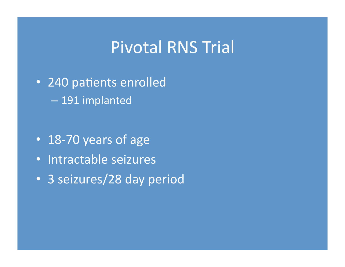## Pivotal RNS Trial

- 240 patients enrolled  $-191$  implanted
- 18-70 years of age
- Intractable seizures
- 3 seizures/28 day period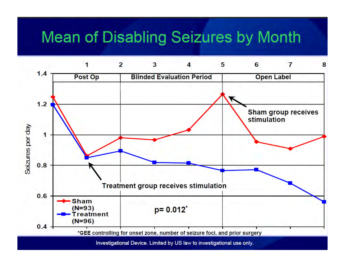#### **Mean of Disabling Seizures by Month**

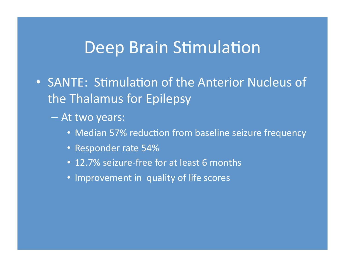## Deep Brain Stimulation

- SANTE: Stimulation of the Anterior Nucleus of the Thalamus for Epilepsy
	- $-$  At two years:
		- Median 57% reduction from baseline seizure frequency
		- Responder rate 54%
		- 12.7% seizure-free for at least 6 months
		- Improvement in quality of life scores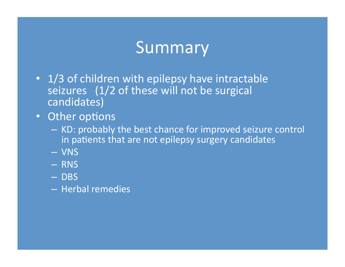# Summary

- $\cdot$  1/3 of children with epilepsy have intractable seizures  $(1/2)$  of these will not be surgical candidates)
- Other options
	- $-$  KD: probably the best chance for improved seizure control in patients that are not epilepsy surgery candidates
	- $-$  VNS
	- $-$  RNS
	- $-$  DBS
	- $-$  Herbal remedies